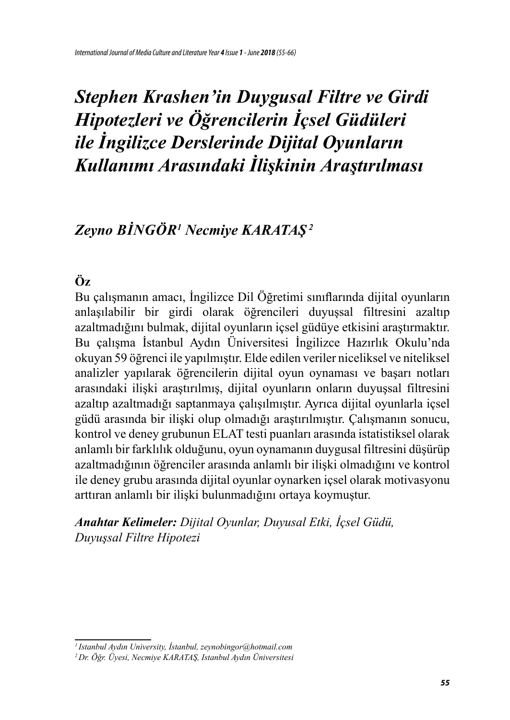# *Zeyno BINGÖR<sup>1</sup> Necmiye KARATAŞ<sup>2</sup>*

# **Öz**

Bu çalışmanın amacı, İngilizce Dil Öğretimi sınıflarında dijital oyunların anlaşılabilir bir girdi olarak öğrencileri duyuşsal filtresini azaltıp azaltmadığını bulmak, dijital oyunların içsel güdüye etkisini araştırmaktır. Bu çalışma İstanbul Aydın Üniversitesi İngilizce Hazırlık Okulu'nda okuyan 59 öğrenci ile yapılmıştır. Elde edilen veriler niceliksel ve niteliksel analizler yapılarak öğrencilerin dijital oyun oynaması ve başarı notları arasındaki ilişki araştırılmış, dijital oyunların onların duyuşsal filtresini azaltıp azaltmadığı saptanmaya çalışılmıştır. Ayrıca dijital oyunlarla içsel güdü arasında bir ilişki olup olmadığı araştırılmıştır. Çalışmanın sonucu, kontrol ve deney grubunun ELAT testi puanları arasında istatistiksel olarak anlamlı bir farklılık olduğunu, oyun oynamanın duygusal filtresini düşürüp azaltmadığının öğrenciler arasında anlamlı bir ilişki olmadığını ve kontrol ile deney grubu arasında dijital oyunlar oynarken içsel olarak motivasyonu arttıran anlamlı bir ilişki bulunmadığını ortaya koymuştur.

*Anahtar Kelimeler: Dijital Oyunlar, Duyusal Etki, İçsel Güdü, Duyuşsal Filtre Hipotezi*

*<sup>1</sup>Istanbul Aydın University, İstanbul, zeynobingor@hotmail.com*

*<sup>2</sup> Dr. Öğr. Üyesi, Necmiye KARATAŞ, Istanbul Aydın Üniversitesi*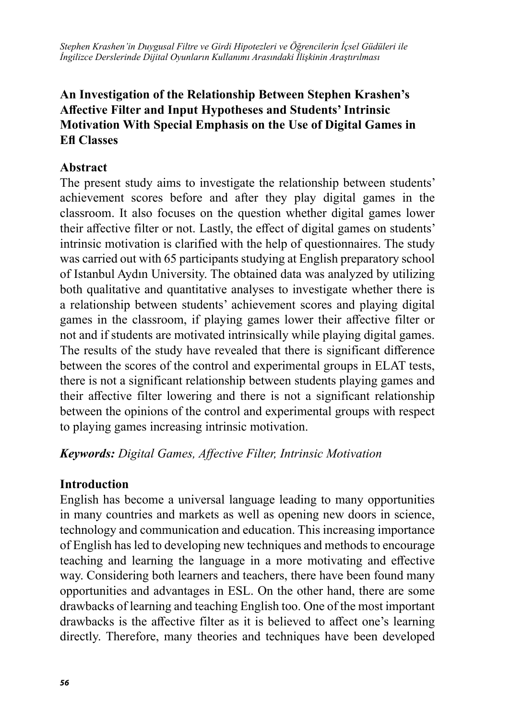## **An Investigation of the Relationship Between Stephen Krashen's Affective Filter and Input Hypotheses and Students' Intrinsic Motivation With Special Emphasis on the Use of Digital Games in Efl Classes**

#### **Abstract**

The present study aims to investigate the relationship between students' achievement scores before and after they play digital games in the classroom. It also focuses on the question whether digital games lower their affective filter or not. Lastly, the effect of digital games on students' intrinsic motivation is clarified with the help of questionnaires. The study was carried out with 65 participants studying at English preparatory school of Istanbul Aydın University. The obtained data was analyzed by utilizing both qualitative and quantitative analyses to investigate whether there is a relationship between students' achievement scores and playing digital games in the classroom, if playing games lower their affective filter or not and if students are motivated intrinsically while playing digital games. The results of the study have revealed that there is significant difference between the scores of the control and experimental groups in ELAT tests, there is not a significant relationship between students playing games and their affective filter lowering and there is not a significant relationship between the opinions of the control and experimental groups with respect to playing games increasing intrinsic motivation.

*Keywords: Digital Games, Affective Filter, Intrinsic Motivation*

#### **Introduction**

English has become a universal language leading to many opportunities in many countries and markets as well as opening new doors in science, technology and communication and education. This increasing importance of English has led to developing new techniques and methods to encourage teaching and learning the language in a more motivating and effective way. Considering both learners and teachers, there have been found many opportunities and advantages in ESL. On the other hand, there are some drawbacks of learning and teaching English too. One of the most important drawbacks is the affective filter as it is believed to affect one's learning directly. Therefore, many theories and techniques have been developed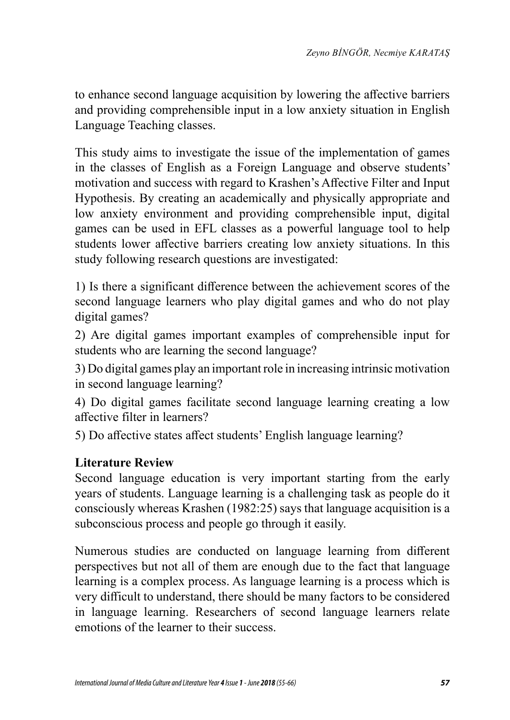to enhance second language acquisition by lowering the affective barriers and providing comprehensible input in a low anxiety situation in English Language Teaching classes.

This study aims to investigate the issue of the implementation of games in the classes of English as a Foreign Language and observe students' motivation and success with regard to Krashen's Affective Filter and Input Hypothesis. By creating an academically and physically appropriate and low anxiety environment and providing comprehensible input, digital games can be used in EFL classes as a powerful language tool to help students lower affective barriers creating low anxiety situations. In this study following research questions are investigated:

1) Is there a significant difference between the achievement scores of the second language learners who play digital games and who do not play digital games?

2) Are digital games important examples of comprehensible input for students who are learning the second language?

3) Do digital games play an important role in increasing intrinsic motivation in second language learning?

4) Do digital games facilitate second language learning creating a low affective filter in learners?

5) Do affective states affect students' English language learning?

### **Literature Review**

Second language education is very important starting from the early years of students. Language learning is a challenging task as people do it consciously whereas Krashen (1982:25) says that language acquisition is a subconscious process and people go through it easily.

Numerous studies are conducted on language learning from different perspectives but not all of them are enough due to the fact that language learning is a complex process. As language learning is a process which is very difficult to understand, there should be many factors to be considered in language learning. Researchers of second language learners relate emotions of the learner to their success.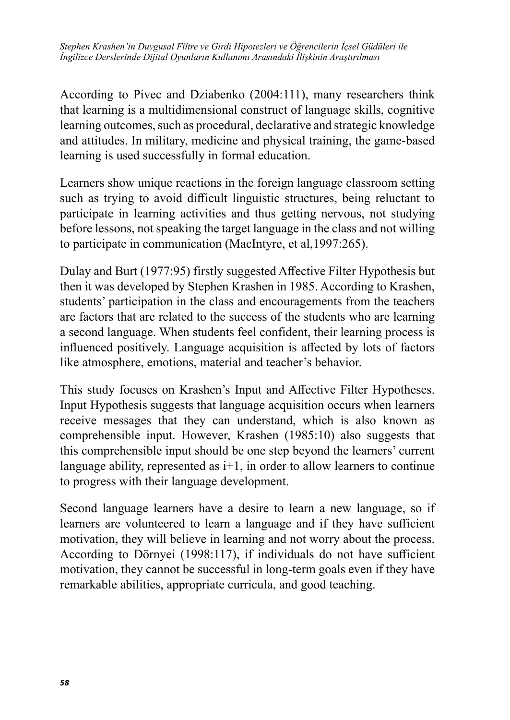According to Pivec and Dziabenko (2004:111), many researchers think that learning is a multidimensional construct of language skills, cognitive learning outcomes, such as procedural, declarative and strategic knowledge and attitudes. In military, medicine and physical training, the game-based learning is used successfully in formal education.

Learners show unique reactions in the foreign language classroom setting such as trying to avoid difficult linguistic structures, being reluctant to participate in learning activities and thus getting nervous, not studying before lessons, not speaking the target language in the class and not willing to participate in communication (MacIntyre, et al,1997:265).

Dulay and Burt (1977:95) firstly suggested Affective Filter Hypothesis but then it was developed by Stephen Krashen in 1985. According to Krashen, students' participation in the class and encouragements from the teachers are factors that are related to the success of the students who are learning a second language. When students feel confident, their learning process is influenced positively. Language acquisition is affected by lots of factors like atmosphere, emotions, material and teacher's behavior.

This study focuses on Krashen's Input and Affective Filter Hypotheses. Input Hypothesis suggests that language acquisition occurs when learners receive messages that they can understand, which is also known as comprehensible input. However, Krashen (1985:10) also suggests that this comprehensible input should be one step beyond the learners' current language ability, represented as  $i+1$ , in order to allow learners to continue to progress with their language development.

Second language learners have a desire to learn a new language, so if learners are volunteered to learn a language and if they have sufficient motivation, they will believe in learning and not worry about the process. According to Dörnyei (1998:117), if individuals do not have sufficient motivation, they cannot be successful in long-term goals even if they have remarkable abilities, appropriate curricula, and good teaching.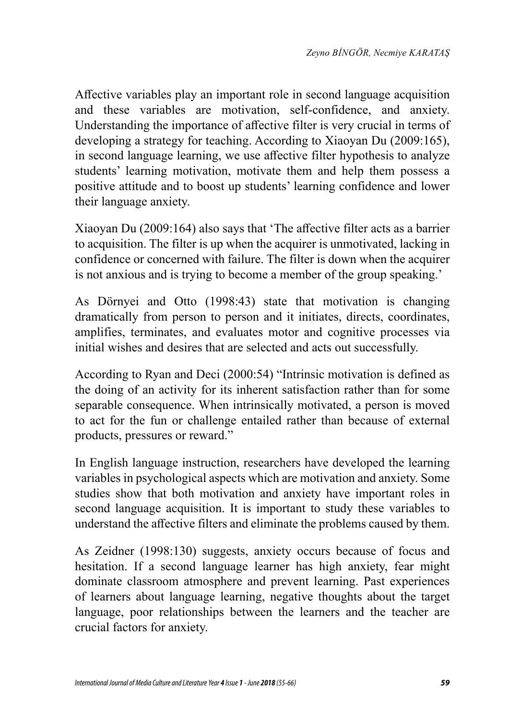Affective variables play an important role in second language acquisition and these variables are motivation, self-confidence, and anxiety. Understanding the importance of affective filter is very crucial in terms of developing a strategy for teaching. According to Xiaoyan Du (2009:165), in second language learning, we use affective filter hypothesis to analyze students' learning motivation, motivate them and help them possess a positive attitude and to boost up students' learning confidence and lower their language anxiety.

Xiaoyan Du (2009:164) also says that 'The affective filter acts as a barrier to acquisition. The filter is up when the acquirer is unmotivated, lacking in confidence or concerned with failure. The filter is down when the acquirer is not anxious and is trying to become a member of the group speaking.'

As Dörnyei and Otto (1998:43) state that motivation is changing dramatically from person to person and it initiates, directs, coordinates, amplifies, terminates, and evaluates motor and cognitive processes via initial wishes and desires that are selected and acts out successfully.

According to Ryan and Deci (2000:54) "Intrinsic motivation is defined as the doing of an activity for its inherent satisfaction rather than for some separable consequence. When intrinsically motivated, a person is moved to act for the fun or challenge entailed rather than because of external products, pressures or reward."

In English language instruction, researchers have developed the learning variables in psychological aspects which are motivation and anxiety. Some studies show that both motivation and anxiety have important roles in second language acquisition. It is important to study these variables to understand the affective filters and eliminate the problems caused by them.

As Zeidner (1998:130) suggests, anxiety occurs because of focus and hesitation. If a second language learner has high anxiety, fear might dominate classroom atmosphere and prevent learning. Past experiences of learners about language learning, negative thoughts about the target language, poor relationships between the learners and the teacher are crucial factors for anxiety.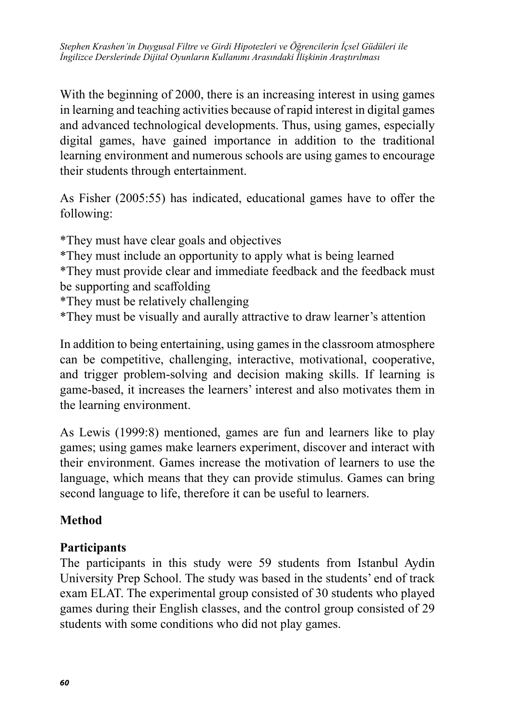With the beginning of 2000, there is an increasing interest in using games in learning and teaching activities because of rapid interest in digital games and advanced technological developments. Thus, using games, especially digital games, have gained importance in addition to the traditional learning environment and numerous schools are using games to encourage their students through entertainment.

As Fisher (2005:55) has indicated, educational games have to offer the following:

\*They must have clear goals and objectives \*They must include an opportunity to apply what is being learned \*They must provide clear and immediate feedback and the feedback must be supporting and scaffolding \*They must be relatively challenging

\*They must be visually and aurally attractive to draw learner's attention

In addition to being entertaining, using games in the classroom atmosphere can be competitive, challenging, interactive, motivational, cooperative, and trigger problem-solving and decision making skills. If learning is game-based, it increases the learners' interest and also motivates them in the learning environment.

As Lewis (1999:8) mentioned, games are fun and learners like to play games; using games make learners experiment, discover and interact with their environment. Games increase the motivation of learners to use the language, which means that they can provide stimulus. Games can bring second language to life, therefore it can be useful to learners.

### **Method**

#### **Participants**

The participants in this study were 59 students from Istanbul Aydin University Prep School. The study was based in the students' end of track exam ELAT. The experimental group consisted of 30 students who played games during their English classes, and the control group consisted of 29 students with some conditions who did not play games.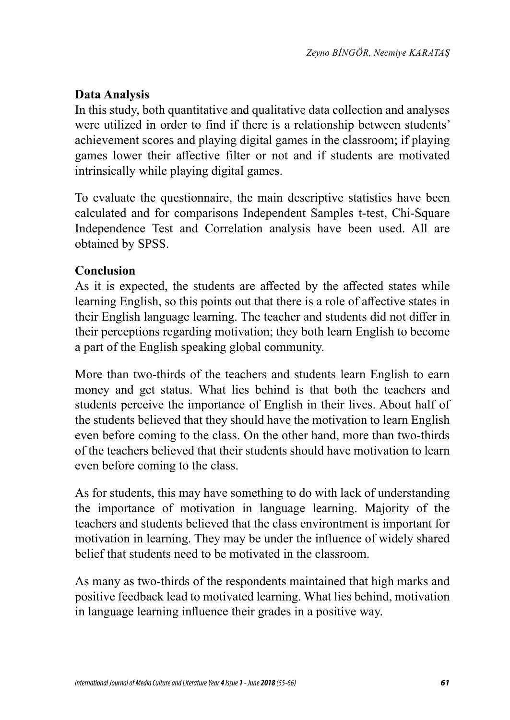## **Data Analysis**

In this study, both quantitative and qualitative data collection and analyses were utilized in order to find if there is a relationship between students' achievement scores and playing digital games in the classroom; if playing games lower their affective filter or not and if students are motivated intrinsically while playing digital games.

To evaluate the questionnaire, the main descriptive statistics have been calculated and for comparisons Independent Samples t-test, Chi-Square Independence Test and Correlation analysis have been used. All are obtained by SPSS.

#### **Conclusion**

As it is expected, the students are affected by the affected states while learning English, so this points out that there is a role of affective states in their English language learning. The teacher and students did not differ in their perceptions regarding motivation; they both learn English to become a part of the English speaking global community.

More than two-thirds of the teachers and students learn English to earn money and get status. What lies behind is that both the teachers and students perceive the importance of English in their lives. About half of the students believed that they should have the motivation to learn English even before coming to the class. On the other hand, more than two-thirds of the teachers believed that their students should have motivation to learn even before coming to the class.

As for students, this may have something to do with lack of understanding the importance of motivation in language learning. Majority of the teachers and students believed that the class environtment is important for motivation in learning. They may be under the influence of widely shared belief that students need to be motivated in the classroom.

As many as two-thirds of the respondents maintained that high marks and positive feedback lead to motivated learning. What lies behind, motivation in language learning influence their grades in a positive way.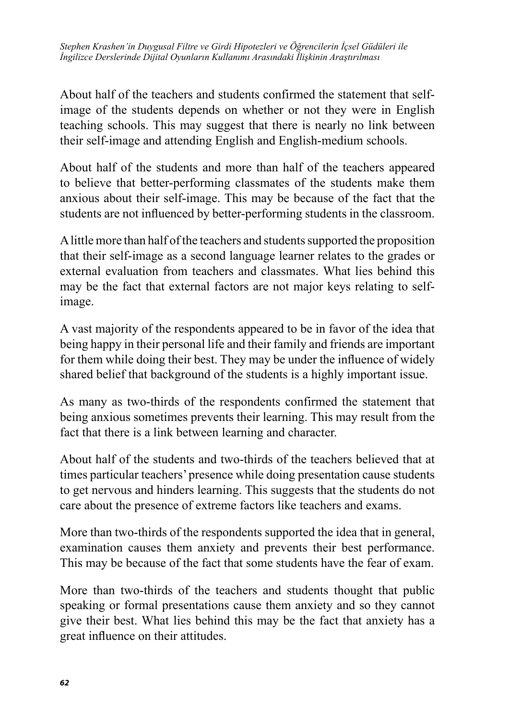About half of the teachers and students confirmed the statement that selfimage of the students depends on whether or not they were in English teaching schools. This may suggest that there is nearly no link between their self-image and attending English and English-medium schools.

About half of the students and more than half of the teachers appeared to believe that better-performing classmates of the students make them anxious about their self-image. This may be because of the fact that the students are not influenced by better-performing students in the classroom.

A little more than half of the teachers and students supported the proposition that their self-image as a second language learner relates to the grades or external evaluation from teachers and classmates. What lies behind this may be the fact that external factors are not major keys relating to selfimage.

A vast majority of the respondents appeared to be in favor of the idea that being happy in their personal life and their family and friends are important for them while doing their best. They may be under the influence of widely shared belief that background of the students is a highly important issue.

As many as two-thirds of the respondents confirmed the statement that being anxious sometimes prevents their learning. This may result from the fact that there is a link between learning and character.

About half of the students and two-thirds of the teachers believed that at times particular teachers' presence while doing presentation cause students to get nervous and hinders learning. This suggests that the students do not care about the presence of extreme factors like teachers and exams.

More than two-thirds of the respondents supported the idea that in general, examination causes them anxiety and prevents their best performance. This may be because of the fact that some students have the fear of exam.

More than two-thirds of the teachers and students thought that public speaking or formal presentations cause them anxiety and so they cannot give their best. What lies behind this may be the fact that anxiety has a great influence on their attitudes.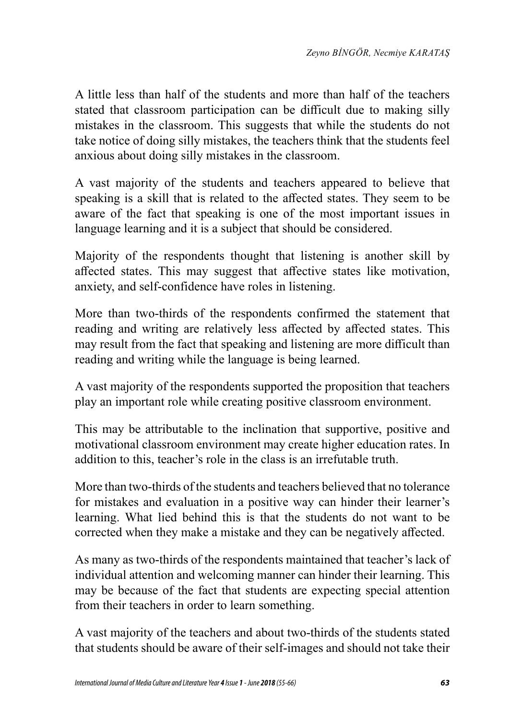A little less than half of the students and more than half of the teachers stated that classroom participation can be difficult due to making silly mistakes in the classroom. This suggests that while the students do not take notice of doing silly mistakes, the teachers think that the students feel anxious about doing silly mistakes in the classroom.

A vast majority of the students and teachers appeared to believe that speaking is a skill that is related to the affected states. They seem to be aware of the fact that speaking is one of the most important issues in language learning and it is a subject that should be considered.

Majority of the respondents thought that listening is another skill by affected states. This may suggest that affective states like motivation, anxiety, and self-confidence have roles in listening.

More than two-thirds of the respondents confirmed the statement that reading and writing are relatively less affected by affected states. This may result from the fact that speaking and listening are more difficult than reading and writing while the language is being learned.

A vast majority of the respondents supported the proposition that teachers play an important role while creating positive classroom environment.

This may be attributable to the inclination that supportive, positive and motivational classroom environment may create higher education rates. In addition to this, teacher's role in the class is an irrefutable truth.

More than two-thirds of the students and teachers believed that no tolerance for mistakes and evaluation in a positive way can hinder their learner's learning. What lied behind this is that the students do not want to be corrected when they make a mistake and they can be negatively affected.

As many as two-thirds of the respondents maintained that teacher's lack of individual attention and welcoming manner can hinder their learning. This may be because of the fact that students are expecting special attention from their teachers in order to learn something.

A vast majority of the teachers and about two-thirds of the students stated that students should be aware of their self-images and should not take their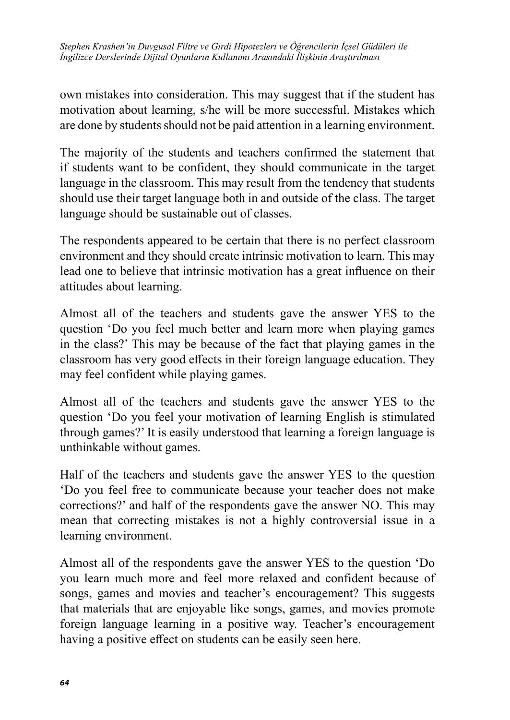own mistakes into consideration. This may suggest that if the student has motivation about learning, s/he will be more successful. Mistakes which are done by students should not be paid attention in a learning environment.

The majority of the students and teachers confirmed the statement that if students want to be confident, they should communicate in the target language in the classroom. This may result from the tendency that students should use their target language both in and outside of the class. The target language should be sustainable out of classes.

The respondents appeared to be certain that there is no perfect classroom environment and they should create intrinsic motivation to learn. This may lead one to believe that intrinsic motivation has a great influence on their attitudes about learning.

Almost all of the teachers and students gave the answer YES to the question 'Do you feel much better and learn more when playing games in the class?' This may be because of the fact that playing games in the classroom has very good effects in their foreign language education. They may feel confident while playing games.

Almost all of the teachers and students gave the answer YES to the question 'Do you feel your motivation of learning English is stimulated through games?' It is easily understood that learning a foreign language is unthinkable without games.

Half of the teachers and students gave the answer YES to the question 'Do you feel free to communicate because your teacher does not make corrections?' and half of the respondents gave the answer NO. This may mean that correcting mistakes is not a highly controversial issue in a learning environment.

Almost all of the respondents gave the answer YES to the question 'Do you learn much more and feel more relaxed and confident because of songs, games and movies and teacher's encouragement? This suggests that materials that are enjoyable like songs, games, and movies promote foreign language learning in a positive way. Teacher's encouragement having a positive effect on students can be easily seen here.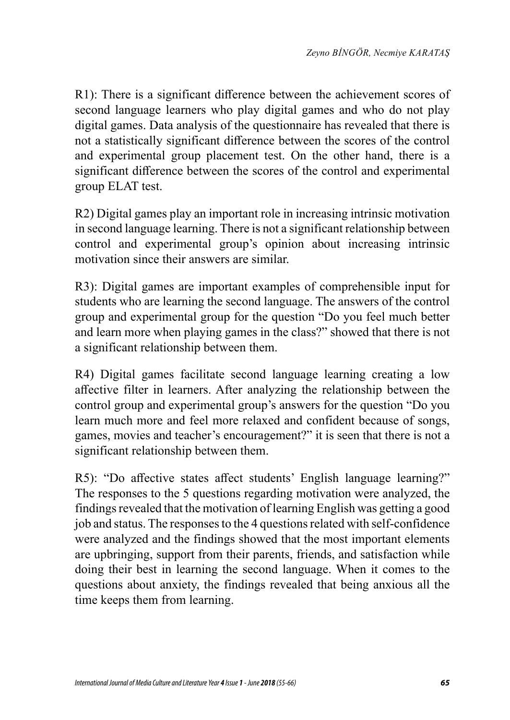R1): There is a significant difference between the achievement scores of second language learners who play digital games and who do not play digital games. Data analysis of the questionnaire has revealed that there is not a statistically significant difference between the scores of the control and experimental group placement test. On the other hand, there is a significant difference between the scores of the control and experimental group ELAT test.

R2) Digital games play an important role in increasing intrinsic motivation in second language learning. There is not a significant relationship between control and experimental group's opinion about increasing intrinsic motivation since their answers are similar.

R3): Digital games are important examples of comprehensible input for students who are learning the second language. The answers of the control group and experimental group for the question "Do you feel much better and learn more when playing games in the class?" showed that there is not a significant relationship between them.

R4) Digital games facilitate second language learning creating a low affective filter in learners. After analyzing the relationship between the control group and experimental group's answers for the question "Do you learn much more and feel more relaxed and confident because of songs, games, movies and teacher's encouragement?" it is seen that there is not a significant relationship between them.

R5): "Do affective states affect students' English language learning?" The responses to the 5 questions regarding motivation were analyzed, the findings revealed that the motivation of learning English was getting a good job and status. The responses to the 4 questions related with self-confidence were analyzed and the findings showed that the most important elements are upbringing, support from their parents, friends, and satisfaction while doing their best in learning the second language. When it comes to the questions about anxiety, the findings revealed that being anxious all the time keeps them from learning.